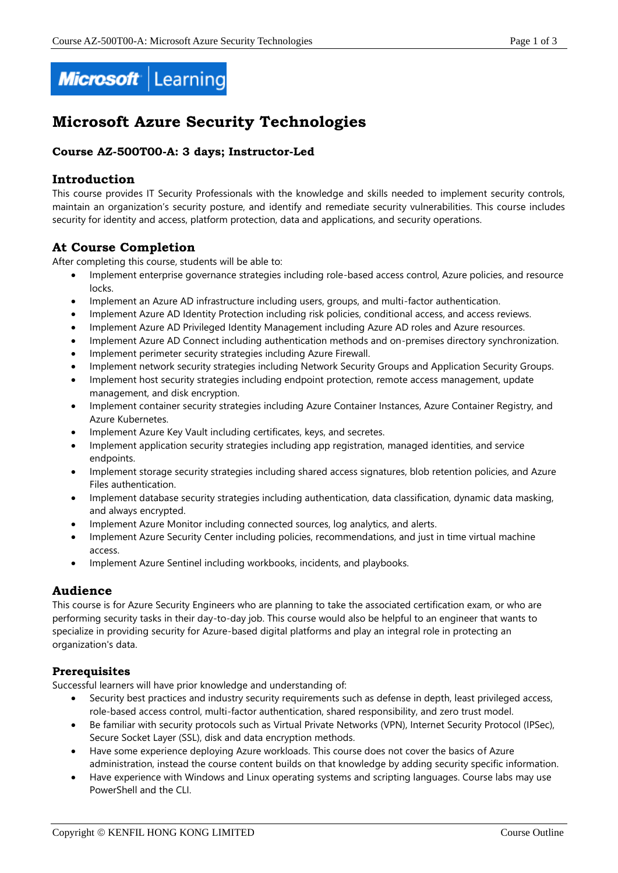

# **Microsoft Azure Security Technologies**

# **Course AZ-500T00-A: 3 days; Instructor-Led**

# **Introduction**

This course provides IT Security Professionals with the knowledge and skills needed to implement security controls, maintain an organization's security posture, and identify and remediate security vulnerabilities. This course includes security for identity and access, platform protection, data and applications, and security operations.

# **At Course Completion**

After completing this course, students will be able to:

- Implement enterprise governance strategies including role-based access control, Azure policies, and resource locks.
- Implement an Azure AD infrastructure including users, groups, and multi-factor authentication.
- Implement Azure AD Identity Protection including risk policies, conditional access, and access reviews.
- Implement Azure AD Privileged Identity Management including Azure AD roles and Azure resources.
- Implement Azure AD Connect including authentication methods and on-premises directory synchronization.
- Implement perimeter security strategies including Azure Firewall.
- Implement network security strategies including Network Security Groups and Application Security Groups.
- Implement host security strategies including endpoint protection, remote access management, update management, and disk encryption.
- Implement container security strategies including Azure Container Instances, Azure Container Registry, and Azure Kubernetes.
- Implement Azure Key Vault including certificates, keys, and secretes.
- Implement application security strategies including app registration, managed identities, and service endpoints.
- Implement storage security strategies including shared access signatures, blob retention policies, and Azure Files authentication.
- Implement database security strategies including authentication, data classification, dynamic data masking, and always encrypted.
- Implement Azure Monitor including connected sources, log analytics, and alerts.
- Implement Azure Security Center including policies, recommendations, and just in time virtual machine access.
- Implement Azure Sentinel including workbooks, incidents, and playbooks.

# **Audience**

This course is for Azure Security Engineers who are planning to take the associated certification exam, or who are performing security tasks in their day-to-day job. This course would also be helpful to an engineer that wants to specialize in providing security for Azure-based digital platforms and play an integral role in protecting an organization's data.

# **Prerequisites**

Successful learners will have prior knowledge and understanding of:

- Security best practices and industry security requirements such as defense in depth, least privileged access, role-based access control, multi-factor authentication, shared responsibility, and zero trust model.
- Be familiar with security protocols such as Virtual Private Networks (VPN), Internet Security Protocol (IPSec), Secure Socket Layer (SSL), disk and data encryption methods.
- Have some experience deploying Azure workloads. This course does not cover the basics of Azure administration, instead the course content builds on that knowledge by adding security specific information.
- Have experience with Windows and Linux operating systems and scripting languages. Course labs may use PowerShell and the CLI.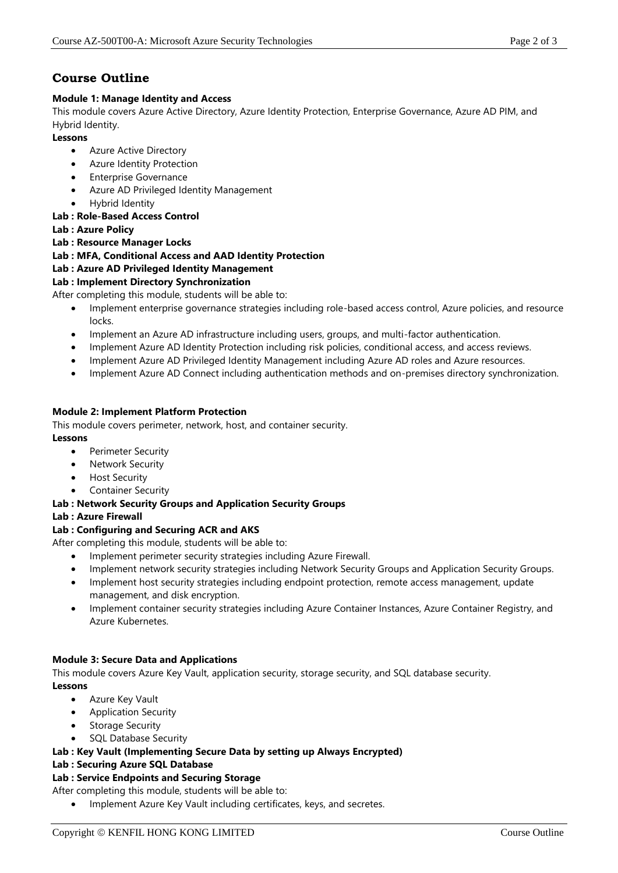# **Course Outline**

#### **Module 1: Manage Identity and Access**

This module covers Azure Active Directory, Azure Identity Protection, Enterprise Governance, Azure AD PIM, and Hybrid Identity.

#### **Lessons**

- Azure Active Directory
- Azure Identity Protection
- Enterprise Governance
- Azure AD Privileged Identity Management
- Hybrid Identity

# **Lab : Role-Based Access Control**

- **Lab : Azure Policy**
- **Lab : Resource Manager Locks**

# **Lab : MFA, Conditional Access and AAD Identity Protection**

# **Lab : Azure AD Privileged Identity Management**

# **Lab : Implement Directory Synchronization**

After completing this module, students will be able to:

- Implement enterprise governance strategies including role-based access control, Azure policies, and resource locks.
- Implement an Azure AD infrastructure including users, groups, and multi-factor authentication.
- Implement Azure AD Identity Protection including risk policies, conditional access, and access reviews.
- Implement Azure AD Privileged Identity Management including Azure AD roles and Azure resources.
- Implement Azure AD Connect including authentication methods and on-premises directory synchronization.

#### **Module 2: Implement Platform Protection**

This module covers perimeter, network, host, and container security.

- **Lessons**
	- Perimeter Security
	- **Network Security**
	- Host Security
	- Container Security

#### **Lab : Network Security Groups and Application Security Groups**

#### **Lab : Azure Firewall**

# **Lab : Configuring and Securing ACR and AKS**

After completing this module, students will be able to:

- Implement perimeter security strategies including Azure Firewall.
- Implement network security strategies including Network Security Groups and Application Security Groups.
- Implement host security strategies including endpoint protection, remote access management, update management, and disk encryption.
- Implement container security strategies including Azure Container Instances, Azure Container Registry, and Azure Kubernetes.

# **Module 3: Secure Data and Applications**

This module covers Azure Key Vault, application security, storage security, and SQL database security. **Lessons**

- Azure Key Vault
- Application Security
- Storage Security
- SQL Database Security

#### **Lab : Key Vault (Implementing Secure Data by setting up Always Encrypted)**

#### **Lab : Securing Azure SQL Database**

#### **Lab : Service Endpoints and Securing Storage**

After completing this module, students will be able to:

• Implement Azure Key Vault including certificates, keys, and secretes.